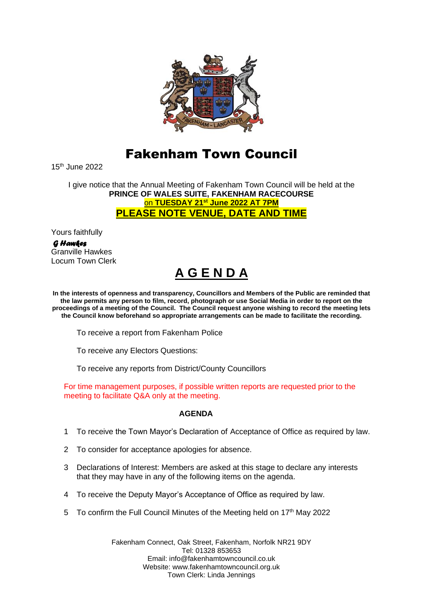

## Fakenham Town Council

15th June 2022

I give notice that the Annual Meeting of Fakenham Town Council will be held at the **PRINCE OF WALES SUITE, FAKENHAM RACECOURSE** on **TUESDAY 21st June 2022 AT 7PM PLEASE NOTE VENUE, DATE AND TIME**

Yours faithfully

 *G Hawkes*  Granville Hawkes Locum Town Clerk

## **A G E N D A**

**In the interests of openness and transparency, Councillors and Members of the Public are reminded that the law permits any person to film, record, photograph or use Social Media in order to report on the proceedings of a meeting of the Council. The Council request anyone wishing to record the meeting lets the Council know beforehand so appropriate arrangements can be made to facilitate the recording.**

To receive a report from Fakenham Police

To receive any Electors Questions:

To receive any reports from District/County Councillors

For time management purposes, if possible written reports are requested prior to the meeting to facilitate Q&A only at the meeting.

## **AGENDA**

- 1 To receive the Town Mayor's Declaration of Acceptance of Office as required by law.
- 2 To consider for acceptance apologies for absence.
- 3 Declarations of Interest: Members are asked at this stage to declare any interests that they may have in any of the following items on the agenda.
- 4 To receive the Deputy Mayor's Acceptance of Office as required by law.
- 5 To confirm the Full Council Minutes of the Meeting held on 17<sup>th</sup> May 2022

Fakenham Connect, Oak Street, Fakenham, Norfolk NR21 9DY Tel: 01328 853653 Email: info@fakenhamtowncouncil.co.uk Website: www.fakenhamtowncouncil.org.uk Town Clerk: Linda Jennings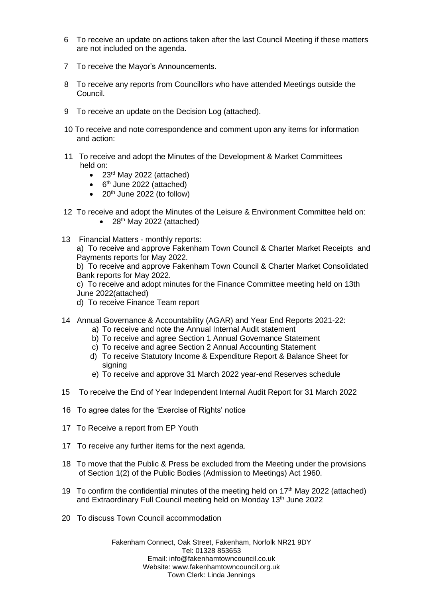- 6 To receive an update on actions taken after the last Council Meeting if these matters are not included on the agenda.
- 7 To receive the Mayor's Announcements.
- 8 To receive any reports from Councillors who have attended Meetings outside the Council.
- 9 To receive an update on the Decision Log (attached).
- 10 To receive and note correspondence and comment upon any items for information and action:
- 11 To receive and adopt the Minutes of the Development & Market Committees held on:
	- 23<sup>rd</sup> May 2022 (attached)
	- $\bullet$  6<sup>th</sup> June 2022 (attached)
	- $\bullet$  20<sup>th</sup> June 2022 (to follow)
- 12 To receive and adopt the Minutes of the Leisure & Environment Committee held on:  $\bullet$  28<sup>th</sup> May 2022 (attached)
- 13 Financial Matters monthly reports: a) To receive and approve Fakenham Town Council & Charter Market Receipts and Payments reports for May 2022.

b) To receive and approve Fakenham Town Council & Charter Market Consolidated Bank reports for May 2022.

c) To receive and adopt minutes for the Finance Committee meeting held on 13th June 2022(attached)

- d) To receive Finance Team report
- 14 Annual Governance & Accountability (AGAR) and Year End Reports 2021-22:
	- a) To receive and note the Annual Internal Audit statement
	- b) To receive and agree Section 1 Annual Governance Statement
	- c) To receive and agree Section 2 Annual Accounting Statement
	- d) To receive Statutory Income & Expenditure Report & Balance Sheet for signing
	- e) To receive and approve 31 March 2022 year-end Reserves schedule
- 15 To receive the End of Year Independent Internal Audit Report for 31 March 2022
- 16 To agree dates for the 'Exercise of Rights' notice
- 17 To Receive a report from EP Youth
- 17 To receive any further items for the next agenda.
- 18 To move that the Public & Press be excluded from the Meeting under the provisions of Section 1(2) of the Public Bodies (Admission to Meetings) Act 1960.
- 19 To confirm the confidential minutes of the meeting held on 17<sup>th</sup> May 2022 (attached) and Extraordinary Full Council meeting held on Monday 13<sup>th</sup> June 2022
- 20 To discuss Town Council accommodation

Fakenham Connect, Oak Street, Fakenham, Norfolk NR21 9DY Tel: 01328 853653 Email: info@fakenhamtowncouncil.co.uk Website: www.fakenhamtowncouncil.org.uk Town Clerk: Linda Jennings